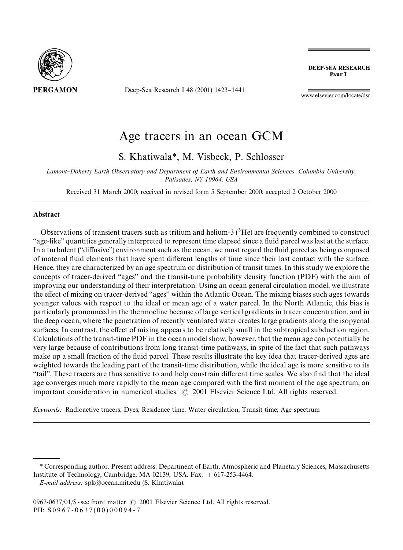

Deep-Sea Research I 48 (2001) 1423-1441

**DEEP-SEA RESEARCH** PART I

www.elsevier.com/locate/dsr

# Age tracers in an ocean GCM

S. Khatiwala*\**, M. Visbeck, P. Schlosser

*Lamont*}*Doherty Earth Observatory and Department of Earth and Environmental Sciences, Columbia University, Palisades, NY 10964, USA*

Received 31 March 2000; received in revised form 5 September 2000; accepted 2 October 2000

#### Abstract

Observations of transient tracers such as tritium and helium-3  $(^{3}He)$  are frequently combined to construct "age-like" quantities generally interpreted to represent time elapsed since a fluid parcel was last at the surface. In a turbulent ("diffusive") environment such as the ocean, we must regard the fluid parcel as being composed of material fluid elements that have spent different lengths of time since their last contact with the surface. Hence, they are characterized by an age spectrum or distribution of transit times. In this study we explore the concepts of tracer-derived "ages" and the transit-time probability density function (PDF) with the aim of improving our understanding of their interpretation. Using an ocean general circulation model, we illustrate the effect of mixing on tracer-derived "ages" within the Atlantic Ocean. The mixing biases such ages towards younger values with respect to the ideal or mean age of a water parcel. In the North Atlantic, this bias is particularly pronounced in the thermocline because of large vertical gradients in tracer concentration, and in the deep ocean, where the penetration of recently ventilated water creates large gradients along the isopycnal surfaces. In contrast, the effect of mixing appears to be relatively small in the subtropical subduction region. Calculations of the transit-time PDF in the ocean model show, however, that the mean age can potentially be very large because of contributions from long transit-time pathways, in spite of the fact that such pathways make up a small fraction of the fluid parcel. These results illustrate the key idea that tracer-derived ages are weighted towards the leading part of the transit-time distribution, while the ideal age is more sensitive to its `taila. These tracers are thus sensitive to and help constrain di!erent time scales. We also "nd that the ideal age converges much more rapidly to the mean age compared with the first moment of the age spectrum, an important consideration in numerical studies.  $\odot$  2001 Elsevier Science Ltd. All rights reserved.

*Keywords:* Radioactive tracers; Dyes; Residence time; Water circulation; Transit time; Age spectrum

*<sup>\*</sup>* Corresponding author. Present address: Department of Earth, Atmospheric and Planetary Sciences, Massachusetts Institute of Technology, Cambridge, MA 02139, USA. Fax:  $+617-253-4464$ .

*E-mail address:* spk@ocean.mit.edu (S. Khatiwala).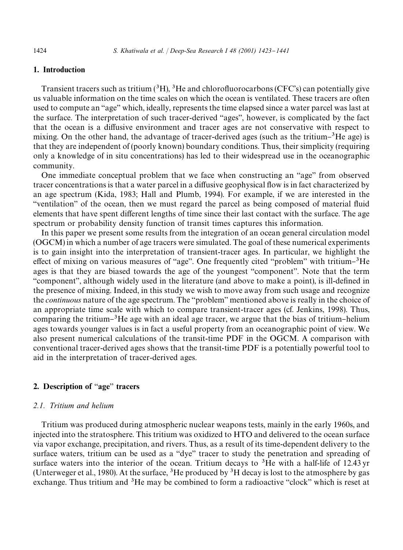# 1. Introduction

Transient tracers such as tritium  $({}^{3}H)$ ,  ${}^{3}He$  and chlorofluorocarbons (CFC's) can potentially give us valuable information on the time scales on which the ocean is ventilated. These tracers are often used to compute an "age" which, ideally, represents the time elapsed since a water parcel was last at the surface. The interpretation of such tracer-derived "ages", however, is complicated by the fact that the ocean is a diffusive environment and tracer ages are not conservative with respect to mixing. On the other hand, the advantage of tracer-derived ages (such as the tritium- ${}^{3}$ He age) is that they are independent of (poorly known) boundary conditions. Thus, their simplicity (requiring only a knowledge of in situ concentrations) has led to their widespread use in the oceanographic community.

One immediate conceptual problem that we face when constructing an "age" from observed tracer concentrations is that a water parcel in a diffusive geophysical flow is in fact characterized by an age spectrum (Kida, 1983; Hall and Plumb, 1994). For example, if we are interested in the "ventilation" of the ocean, then we must regard the parcel as being composed of material fluid elements that have spent different lengths of time since their last contact with the surface. The age spectrum or probability density function of transit times captures this information.

In this paper we present some results from the integration of an ocean general circulation model (OGCM) in which a number of age tracers were simulated. The goal of these numerical experiments is to gain insight into the interpretation of transient-tracer ages. In particular, we highlight the effect of mixing on various measures of "age". One frequently cited "problem" with tritium– ${}^{3}$ He ages is that they are biased towards the age of the youngest "component". Note that the term "component", although widely used in the literature (and above to make a point), is ill-defined in the presence of mixing. Indeed, in this study we wish to move away from such usage and recognize the *continuous* nature of the age spectrum. The "problem" mentioned above is really in the choice of an appropriate time scale with which to compare transient-tracer ages (cf. Jenkins, 1998). Thus, comparing the tritium<sup>-3</sup>He age with an ideal age tracer, we argue that the bias of tritium-helium ages towards younger values is in fact a useful property from an oceanographic point of view. We also present numerical calculations of the transit-time PDF in the OGCM. A comparison with conventional tracer-derived ages shows that the transit-time PDF is a potentially powerful tool to aid in the interpretation of tracer-derived ages.

# 2. Description of "age" tracers

## *2.1. Tritium and helium*

Tritium was produced during atmospheric nuclear weapons tests, mainly in the early 1960s, and injected into the stratosphere. This tritium was oxidized to HTO and delivered to the ocean surface via vapor exchange, precipitation, and rivers. Thus, as a result of its time-dependent delivery to the surface waters, tritium can be used as a "dye" tracer to study the penetration and spreading of surface waters into the interior of the ocean. Tritium decays to  ${}^{3}$ He with a half-life of 12.43 yr (Unterweger et al., 1980). At the surface,  ${}^{3}$ He produced by  ${}^{3}$ H decay is lost to the atmosphere by gas exchange. Thus tritium and  ${}^{3}$ He may be combined to form a radioactive "clock" which is reset at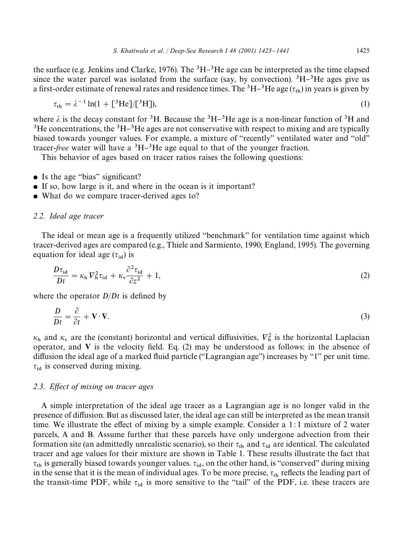the surface (e.g. Jenkins and Clarke, 1976). The <sup>3</sup>H $-$ <sup>3</sup>He age can be interpreted as the time elapsed since the water parcel was isolated from the surface (say, by convection).  ${}^{3}H-{}^{3}He$  ages give us a first-order estimate of renewal rates and residence times. The  ${}^{3}H-{}^{3}He$  age ( $\tau_{th}$ ) in years is given by

$$
\tau_{\text{th}} = \lambda^{-1} \ln(1 + \left[ \frac{3}{2} H \right])
$$
\n<sup>(1)</sup>

where  $\lambda$  is the decay constant for <sup>3</sup>H. Because the <sup>3</sup>H-<sup>3</sup>He age is a non-linear function of <sup>3</sup>H and  ${}^{3}$ He concentrations, the  ${}^{3}H-{}^{3}He$  ages are not conservative with respect to mixing and are typically biased towards younger values. For example, a mixture of "recently" ventilated water and "old" tracer-*free* water will have a  ${}^{3}H-{}^{3}He$  age equal to that of the younger fraction.

This behavior of ages based on tracer ratios raises the following questions:

- $\bullet$  Is the age "bias" significant?
- If so, how large is it, and where in the ocean is it important?
- What do we compare tracer-derived ages to?

## *2.2. Ideal age tracer*

The ideal or mean age is a frequently utilized "benchmark" for ventilation time against which tracer-derived ages are compared (e.g., Thiele and Sarmiento, 1990; England, 1995). The governing equation for ideal age ( $\tau_{\rm id}$ ) is

$$
\frac{D\tau_{\rm id}}{Dt} = \kappa_{\rm h} V_{\rm h}^2 \tau_{\rm id} + \kappa_{\rm v} \frac{\partial^2 \tau_{\rm id}}{\partial z^2} + 1,\tag{2}
$$

where the operator  $D/Dt$  is defined by

$$
\frac{D}{Dt} = \frac{\partial}{\partial t} + \mathbf{V} \cdot \mathbf{\nabla}.\tag{3}
$$

 $\kappa_h$  and  $\kappa_v$  are the (constant) horizontal and vertical diffusivities,  $V_h^2$  is the horizontal Laplacian operator, and  $V$  is the velocity field. Eq. (2) may be understood as follows: in the absence of diffusion the ideal age of a marked fluid particle ( $"Lagrangian age"$ ) increases by  $"1"$  per unit time.  $\tau_{id}$  is conserved during mixing.

### 2.3. Effect of mixing on tracer ages

A simple interpretation of the ideal age tracer as a Lagrangian age is no longer valid in the presence of diffusion. But as discussed later, the ideal age can still be interpreted as the mean transit time. We illustrate the effect of mixing by a simple example. Consider a  $1:1$  mixture of 2 water parcels, A and B. Assume further that these parcels have only undergone advection from their formation site (an admittedly unrealistic scenario), so their  $\tau_{th}$  and  $\tau_{id}$  are identical. The calculated tracer and age values for their mixture are shown in Table 1. These results illustrate the fact that  $\tau_{th}$  is generally biased towards younger values.  $\tau_{id}$ , on the other hand, is "conserved" during mixing in the sense that it is the mean of individual ages. To be more precise,  $\tau_{\text{th}}$  reflects the leading part of the transit-time PDF, while  $\tau_{id}$  is more sensitive to the "tail" of the PDF, i.e. these tracers are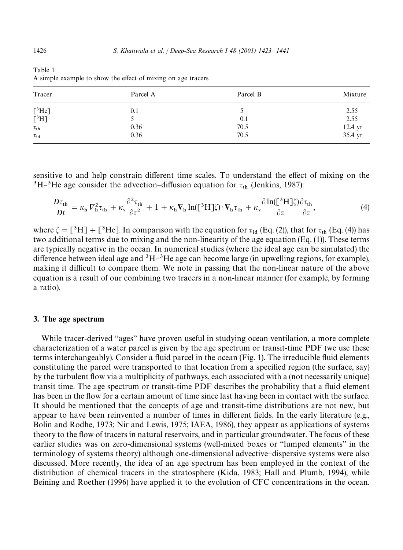| Tracer                     | Parcel A | Parcel B | Mixture            |
|----------------------------|----------|----------|--------------------|
|                            | 0.1      |          |                    |
| $\rm \frac{[^3He]}{[^3H]}$ |          | 0.1      | $2.55$<br>$2.55$   |
| $\tau_{\rm th}$            | 0.36     | 70.5     |                    |
| $\tau_{\mathrm{id}}$       | 0.36     | 70.5     | 12.4 yr<br>35.4 yr |

Table 1 A simple example to show the effect of mixing on age tracers

sensitive to and help constrain different time scales. To understand the effect of mixing on the <sup>3</sup>H<sup>-3</sup>He age consider the advection-diffusion equation for  $\tau_{\text{th}}$  (Jenkins, 1987):

$$
\frac{D\tau_{th}}{Dt} = \kappa_h V_h^2 \tau_{th} + \kappa_v \frac{\partial^2 \tau_{th}}{\partial z^2} + 1 + \kappa_h V_h \ln(\left[\frac{3H}{2}\right]) \cdot V_h \tau_{th} + \kappa_v \frac{\partial \ln(\left[\frac{3H}{2}\right]) \partial \tau_{th}}{\partial z},\tag{4}
$$

where  $\zeta = [^3H] + [^3He]$ . In comparison with the equation for  $\tau_{id}$  (Eq. (2)), that for  $\tau_{th}$  (Eq. (4)) has two additional terms due to mixing and the non-linearity of the age equation (Eq. (1)). These terms are typically negative in the ocean. In numerical studies (where the ideal age can be simulated) the difference between ideal age and  ${}^{3}H-{}^{3}He$  age can become large (in upwelling regions, for example), making it difficult to compare them. We note in passing that the non-linear nature of the above equation is a result of our combining two tracers in a non-linear manner (for example, by forming a ratio).

#### 3. The age spectrum

While tracer-derived "ages" have proven useful in studying ocean ventilation, a more complete characterization of a water parcel is given by the age spectrum or transit-time PDF (we use these terms interchangeably). Consider a fluid parcel in the ocean (Fig. 1). The irreducible fluid elements constituting the parcel were transported to that location from a specified region (the surface, say) by the turbulent #ow via a multiplicity of pathways, each associated with a (not necessarily unique) transit time. The age spectrum or transit-time PDF describes the probability that a fluid element has been in the flow for a certain amount of time since last having been in contact with the surface. It should be mentioned that the concepts of age and transit-time distributions are not new, but appear to have been reinvented a number of times in different fields. In the early literature (e.g., Bolin and Rodhe, 1973; Nir and Lewis, 1975; IAEA, 1986), they appear as applications of systems theory to the flow of tracers in natural reservoirs, and in particular groundwater. The focus of these earlier studies was on zero-dimensional systems (well-mixed boxes or "lumped elements" in the terminology of systems theory) although one-dimensional advective-dispersive systems were also discussed. More recently, the idea of an age spectrum has been employed in the context of the distribution of chemical tracers in the stratosphere (Kida, 1983; Hall and Plumb, 1994), while Beining and Roether (1996) have applied it to the evolution of CFC concentrations in the ocean.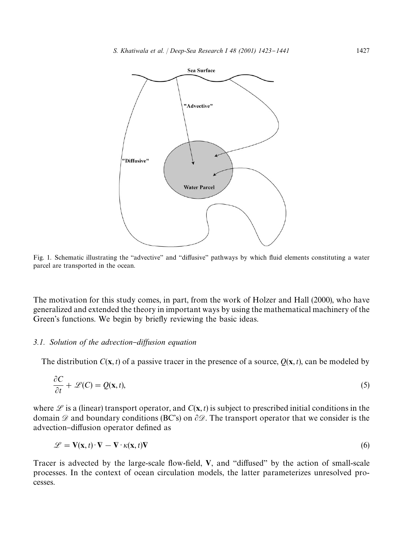

Fig. 1. Schematic illustrating the "advective" and "diffusive" pathways by which fluid elements constituting a water parcel are transported in the ocean.

The motivation for this study comes, in part, from the work of Holzer and Hall (2000), who have generalized and extended the theory in important ways by using the mathematical machinery of the Green's functions. We begin by briefly reviewing the basic ideas.

## *3.1.* Solution of the advection-diffusion equation

The distribution  $C(x, t)$  of a passive tracer in the presence of a source,  $Q(x, t)$ , can be modeled by

$$
\frac{\partial C}{\partial t} + \mathcal{L}(C) = Q(\mathbf{x}, t),\tag{5}
$$

where  $\mathscr L$  is a (linear) transport operator, and  $C(\mathbf x,t)$  is subject to prescribed initial conditions in the domain  $\mathscr D$  and boundary conditions (BC's) on  $\partial \mathscr D$ . The transport operator that we consider is the advection-diffusion operator defined as

$$
\mathcal{L} = \mathbf{V}(\mathbf{x}, t) \cdot \nabla - \nabla \cdot \kappa(\mathbf{x}, t) \nabla
$$
\n(6)

Tracer is advected by the large-scale flow-field,  $V$ , and "diffused" by the action of small-scale processes. In the context of ocean circulation models, the latter parameterizes unresolved processes.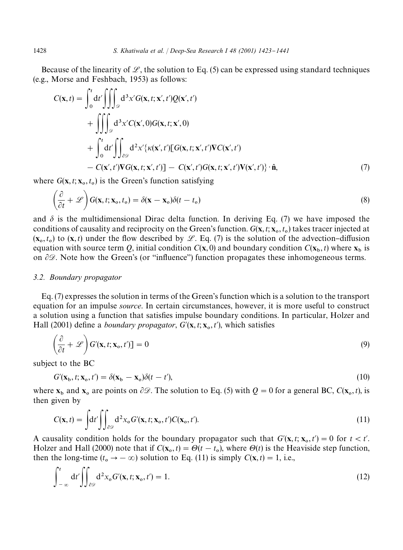Because of the linearity of  $\mathcal{L}$ , the solution to Eq. (5) can be expressed using standard techniques (e.g., Morse and Feshbach, 1953) as follows:

$$
C(\mathbf{x},t) = \int_0^t dt' \iiint_{\mathcal{D}} d^3x' G(\mathbf{x},t;\mathbf{x}',t')Q(\mathbf{x}',t')
$$
  
+ 
$$
\iiint_{\mathcal{D}} d^3x' C(\mathbf{x}',0)G(\mathbf{x},t;\mathbf{x}',0)
$$
  
+ 
$$
\int_0^t dt' \iint_{\partial \mathcal{D}} d^2x' \{\kappa(\mathbf{x}',t') [G(\mathbf{x},t;\mathbf{x}',t')\mathbf{V}C(\mathbf{x}',t')
$$
  
- 
$$
C(\mathbf{x}',t')\mathbf{V}G(\mathbf{x},t;\mathbf{x}',t') ] - C(\mathbf{x}',t')G(\mathbf{x},t;\mathbf{x}',t')\mathbf{V}(\mathbf{x}',t')\} \cdot \hat{\mathbf{n}},
$$
(7)

where  $G(\mathbf{x}, t; \mathbf{x}_0, t_0)$  is the Green's function satisfying

$$
\left(\frac{\partial}{\partial t} + \mathscr{L}\right) G(\mathbf{x}, t; \mathbf{x}_0, t_0) = \delta(\mathbf{x} - \mathbf{x}_0) \delta(t - t_0)
$$
\n(8)

and  $\delta$  is the multidimensional Dirac delta function. In deriving Eq. (7) we have imposed the conditions of causality and reciprocity on the Green's function.  $G(\mathbf{x}, t; \mathbf{x}_0, t_0)$  takes tracer injected at  $(\mathbf{x}_0, t_0)$  to  $(\mathbf{x}, t)$  under the flow described by L. Eq. (7) is the solution of the advection-diffusion equation with source term *Q*, initial condition  $C(\mathbf{x}, 0)$  and boundary condition  $C(\mathbf{x}_b, t)$  where  $\mathbf{x}_b$  is on  $\partial \mathcal{D}$ . Note how the Green's (or "influence") function propagates these inhomogeneous terms.

#### *3.2. Boundary propagator*

Eq. (7) expresses the solution in terms of the Green's function which is a solution to the transport equation for an impulse *source*. In certain circumstances, however, it is more useful to construct a solution using a function that satisfies impulse boundary conditions. In particular, Holzer and Hall (2001) define a *boundary propagator*,  $G'(\mathbf{x}, t; \mathbf{x}_0, t')$ , which satisfies

$$
\left(\frac{\partial}{\partial t} + \mathcal{L}\right) G'(\mathbf{x}, t; \mathbf{x}_0, t') = 0
$$
\n(9)

subject to the BC

$$
G'(\mathbf{x}_b, t; \mathbf{x}_o, t') = \delta(\mathbf{x}_b - \mathbf{x}_o)\delta(t - t'),
$$
\n(10)

where  $\mathbf{x}_b$  and  $\mathbf{x}_o$  are points on  $\partial \mathcal{D}$ . The solution to Eq. (5) with  $Q = 0$  for a general BC,  $C(\mathbf{x}_o, t)$ , is then given by

$$
C(\mathbf{x},t) = \int dt' \iint_{\partial \mathcal{D}} d^2 x_0 G'(\mathbf{x},t;\mathbf{x}_0,t') C(\mathbf{x}_0,t').
$$
\n(11)

A causality condition holds for the boundary propagator such that  $G'(\mathbf{x}, t; \mathbf{x}_0, t') = 0$  for  $t < t'$ . Holzer and Hall (2000) note that if  $C(\mathbf{x}_0, t) = \Theta(t - t_0)$ , where  $\Theta(t)$  is the Heaviside step function, then the long-time  $(t_0 \rightarrow -\infty)$  solution to Eq. (11) is simply  $C(\mathbf{x}, t) = 1$ , i.e.,

$$
\int_{-\infty}^{t} dt' \iint_{\partial \mathcal{D}} d^{2}x_{o} G'(\mathbf{x}, t; \mathbf{x}_{o}, t') = 1.
$$
\n(12)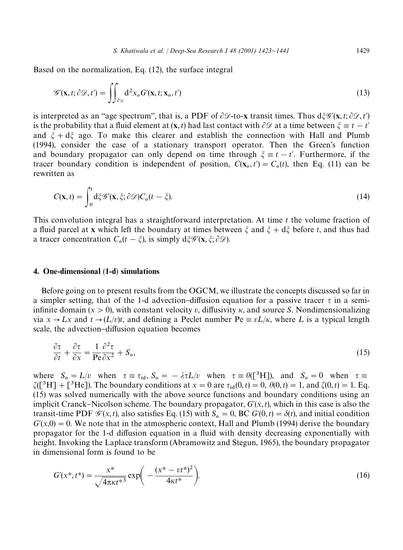Based on the normalization, Eq. (12), the surface integral

$$
\mathcal{G}'(\mathbf{x},t;\partial\mathcal{D},t') = \iint_{\partial\mathcal{D}} d^2x_o G'(\mathbf{x},t;\mathbf{x}_o,t')
$$
\n(13)

is interpreted as an "age spectrum", that is, a PDF of  $\partial\mathcal{D}$ -to-x transit times. Thus  $d\xi\mathcal{G}'(\mathbf{x},t;\partial\mathcal{D},t')$ is the probability that a fluid element at  $(\mathbf{x}, t)$  had last contact with  $\partial \mathcal{D}$  at a time between  $\xi \equiv t - t'$ and  $\xi + d\xi$  ago. To make this clearer and establish the connection with Hall and Plumb (1994), consider the case of a stationary transport operator. Then the Green's function and boundary propagator can only depend on time through  $\xi \equiv t - t'$ . Furthermore, if the tracer boundary condition is independent of position,  $C(\mathbf{x}_0, t') = C_0(t)$ , then Eq. (11) can be rewritten as

$$
C(\mathbf{x},t) = \int_0^t d\xi \mathcal{G}'(\mathbf{x},\xi;\partial \mathcal{D}) C_o(t-\xi).
$$
 (14)

This convolution integral has a straightforward interpretation. At time *t* the volume fraction of a fluid parcel at x which left the boundary at times between  $\xi$  and  $\xi + d\xi$  before *t*, and thus had a tracer concentration  $C_0(t - \xi)$ , is simply  $d\xi \mathscr{G}'(\mathbf{x}, \xi; \partial \mathscr{D})$ .

## 4. One-dimensional (1-d) simulations

Before going on to present results from the OGCM, we illustrate the concepts discussed so far in a simpler setting, that of the 1-d advection-diffusion equation for a passive tracer  $\tau$  in a semiinfinite domain ( $x > 0$ ), with constant velocity *v*, diffusivity  $\kappa$ , and source *S*. Nondimensionalizing via  $x \rightarrow Lx$  and  $t \rightarrow (L/v)t$ , and defining a Peclet number Pe  $\equiv vL/\kappa$ , where L is a typical length scale, the advection-diffusion equation becomes

$$
\frac{\partial \tau}{\partial t} + \frac{\partial \tau}{\partial x} = \frac{1}{\text{Pe}} \frac{\partial^2 \tau}{\partial x^2} + S_o,
$$
\n(15)

where  $S_0 = L/v$  when  $\tau \equiv \tau_{id}$ ,  $S_0 = -\lambda \tau L/v$  when  $\tau \equiv \theta ([^3H])$ , and  $S_0 = 0$  when  $\tau \equiv$  $\zeta([\sqrt{3}H] + [\sqrt{3}He])$ . The boundary conditions at  $x = 0$  are  $\tau_{id}(0, t) = 0$ ,  $\theta(0, t) = 1$ , and  $\zeta(0, t) = 1$ . Eq. (15) was solved numerically with the above source functions and boundary conditions using an implicit Cranck–Nicolson scheme. The boundary propagator,  $G'(x, t)$ , which in this case is also the transit-time PDF  $\mathcal{G}'(x,t)$ , also satisfies Eq. (15) with  $S_0 = 0$ , BC  $G'(0,t) = \delta(t)$ , and initial condition  $G'(x,0) = 0$ . We note that in the atmospheric context, Hall and Plumb (1994) derive the boundary propagator for the 1-d diffusion equation in a fluid with density decreasing exponentially with height. Invoking the Laplace transform (Abramowitz and Stegun, 1965), the boundary propagator in dimensional form is found to be

$$
G'(x^*, t^*) = \frac{x^*}{\sqrt{4\pi\kappa t^{*3}}} \exp\bigg(-\frac{(x^* - vt^*)^2}{4\kappa t^*}\bigg). \tag{16}
$$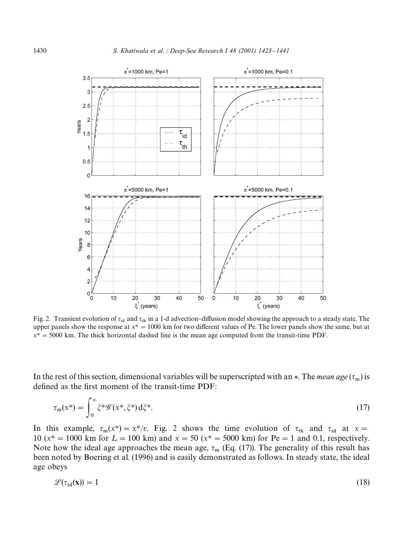

Fig. 2. Transient evolution of  $\tau_{id}$  and  $\tau_{th}$  in a 1-d advection-diffusion model showing the approach to a steady state. The upper panels show the response at  $x^* = 1000$  km for two different values of Pe. The lower panels show the same, but at  $x^* = 5000$  km. The thick horizontal dashed line is the mean age computed from the transit-time PDF.

In the rest of this section, dimensional variables will be superscripted with an  $*$ . The *mean age* ( $\tau_m$ ) is defined as the first moment of the transit-time PDF:

$$
\tau_{\mathfrak{m}}(x^*) = \int_0^\infty \xi^* \mathscr{G}'(x^*, \xi^*) \, \mathrm{d}\xi^* \,. \tag{17}
$$

In this example,  $\tau_m(x^*) = x^*/v$ . Fig. 2 shows the time evolution of  $\tau_{th}$  and  $\tau_{id}$  at  $x =$ 10 ( $x^* = 1000$  km for  $L = 100$  km) and  $x = 50$  ( $x^* = 5000$  km) for Pe = 1 and 0.1, respectively. Note how the ideal age approaches the mean age,  $\tau_m$  (Eq. (17)). The generality of this result has been noted by Boering et al. (1996) and is easily demonstrated as follows. In steady state, the ideal age obeys

$$
\mathcal{L}(\tau_{\rm id}(\mathbf{x})) = 1 \tag{18}
$$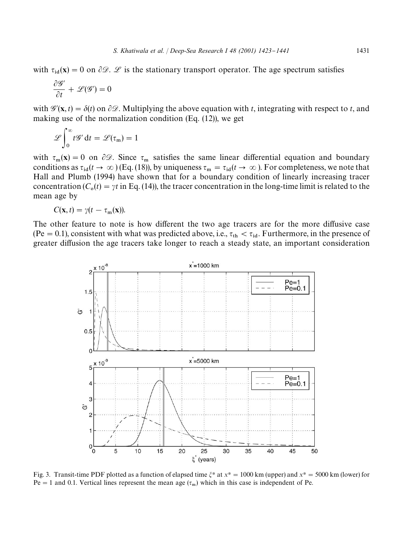with  $\tau_{id}(x) = 0$  on  $\partial \mathcal{D}$ .  $\mathcal{L}$  is the stationary transport operator. The age spectrum satisfies

$$
\frac{\partial \mathscr{G}'}{\partial t} + \mathscr{L}(\mathscr{G}') = 0
$$

with  $\mathscr{G}'(\mathbf{x}, t) = \delta(t)$  on  $\partial \mathscr{D}$ . Multiplying the above equation with *t*, integrating with respect to *t*, and making use of the normalization condition (Eq. (12)), we get

$$
\mathscr{L}\!\int_0^\infty t\mathscr{G}'\,\mathrm{d}t = \mathscr{L}(\tau_m) = 1
$$

with  $\tau_m(\mathbf{x}) = 0$  on  $\partial \mathcal{D}$ . Since  $\tau_m$  satisfies the same linear differential equation and boundary conditions as  $\tau_{\text{id}}(t \to \infty)$  (Eq. (18)), by uniqueness  $\tau_{\text{m}} = \tau_{\text{id}}(t \to \infty)$ . For completeness, we note that Hall and Plumb (1994) have shown that for a boundary condition of linearly increasing tracer concentration  $(C_0(t) = \gamma t$  in Eq. (14)), the tracer concentration in the long-time limit is related to the mean age by

$$
C(\mathbf{x},t)=\gamma(t-\tau_{\mathbf{m}}(\mathbf{x})).
$$

The other feature to note is how different the two age tracers are for the more diffusive case (Pe = 0.1), consistent with what was predicted above, i.e.,  $\tau_{th} < \tau_{id}$ . Furthermore, in the presence of greater diffusion the age tracers take longer to reach a steady state, an important consideration



Fig. 3. Transit-time PDF plotted as a function of elapsed time  $\xi^*$  at  $x^* = 1000$  km (upper) and  $x^* = 5000$  km (lower) for  $Pe = 1$  and 0.1. Vertical lines represent the mean age  $(\tau_m)$  which in this case is independent of Pe.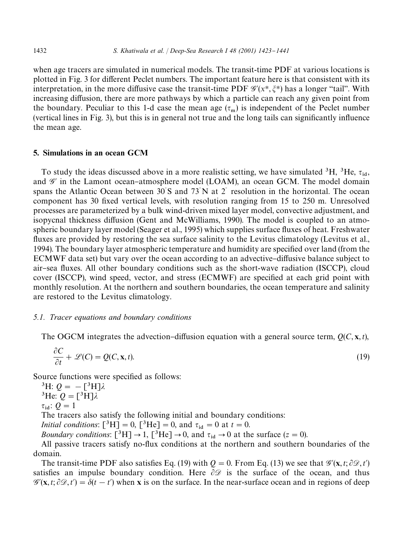when age tracers are simulated in numerical models. The transit-time PDF at various locations is plotted in Fig. 3 for different Peclet numbers. The important feature here is that consistent with its interpretation, in the more diffusive case the transit-time PDF  $\mathscr{G}'(x^*, \xi^*)$  has a longer "tail". With increasing diffusion, there are more pathways by which a particle can reach any given point from the boundary. Peculiar to this 1-d case the mean age  $(\tau_m)$  is independent of the Peclet number (vertical lines in Fig. 3), but this is in general not true and the long tails can significantly influence the mean age.

# 5. Simulations in an ocean GCM

To study the ideas discussed above in a more realistic setting, we have simulated <sup>3</sup>H, <sup>3</sup>He,  $\tau_{id}$ , and  $\mathcal{G}'$  in the Lamont ocean-atmosphere model (LOAM), an ocean GCM. The model domain spans the Atlantic Ocean between  $30^{\circ}$ S and  $73^{\circ}$ N at 2<sup> $\circ$ </sup> resolution in the horizontal. The ocean component has 30 fixed vertical levels, with resolution ranging from 15 to 250 m. Unresolved processes are parameterized by a bulk wind-driven mixed layer model, convective adjustment, and isopycnal thickness diffusion (Gent and McWilliams, 1990). The model is coupled to an atmospheric boundary layer model (Seager et al., 1995) which supplies surface fluxes of heat. Freshwater fluxes are provided by restoring the sea surface salinity to the Levitus climatology (Levitus et al., 1994). The boundary layer atmospheric temperature and humidity are specified over land (from the ECMWF data set) but vary over the ocean according to an advective–diffusive balance subject to air-sea fluxes. All other boundary conditions such as the short-wave radiation (ISCCP), cloud cover (ISCCP), wind speed, vector, and stress (ECMWF) are specified at each grid point with monthly resolution. At the northern and southern boundaries, the ocean temperature and salinity are restored to the Levitus climatology.

# *5.1. Tracer equations and boundary conditions*

The OGCM integrates the advection-diffusion equation with a general source term,  $O(C, x, t)$ ,

$$
\frac{\partial C}{\partial t} + \mathcal{L}(C) = Q(C, \mathbf{x}, t). \tag{19}
$$

Source functions were specified as follows:

<sup>3</sup>H:  $Q = -[^3H]\lambda$ <sup>3</sup>He:  $Q = \begin{bmatrix} 3H \end{bmatrix} \lambda$  $\tau_{\rm id}$ :  $Q = 1$ The tracers also satisfy the following initial and boundary conditions: *Initial conditions*:  $\begin{bmatrix} {}^{3}H \end{bmatrix} = 0$ ,  $\begin{bmatrix} {}^{3}He \end{bmatrix} = 0$ , and  $\tau_{id} = 0$  at  $t = 0$ . *Boundary conditions*:  $\left[\begin{array}{c}^{3}H\end{array}\right] \rightarrow 1, \left[\begin{array}{c}^{3}He\end{array}\right] \rightarrow 0$ , and  $\tau_{id} \rightarrow 0$  at the surface (*z* = 0). All passive tracers satisfy no-flux conditions at the northern and southern boundaries of the

domain. The transit-time PDF also satisfies Eq. (19) with  $Q = 0$ . From Eq. (13) we see that  $\mathscr{G}'(\mathbf{x}, t; \partial \mathscr{D}, t')$ 

satisfies an impulse boundary condition. Here  $\partial\mathcal{D}$  is the surface of the ocean, and thus  $\mathscr{G}'(\mathbf{x}, t; \partial \mathscr{D}, t') = \delta(t - t')$  when **x** is on the surface. In the near-surface ocean and in regions of deep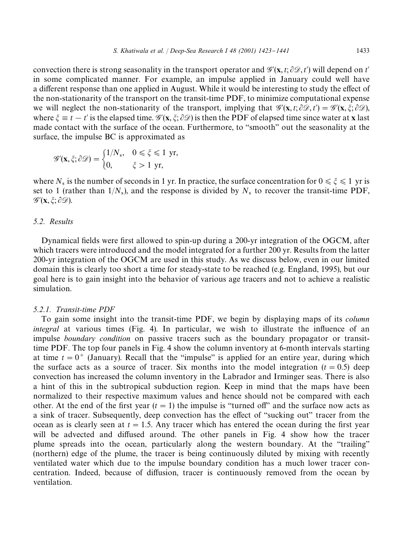convection there is strong seasonality in the transport operator and  $\mathscr{G}'(\mathbf{x}, t; \partial \mathscr{D}, t')$  will depend on *t'* in some complicated manner. For example, an impulse applied in January could well have a different response than one applied in August. While it would be interesting to study the effect of the non-stationarity of the transport on the transit-time PDF, to minimize computational expense we will neglect the non-stationarity of the transport, implying that  $\mathscr{G}'(\mathbf{x}, t; \partial \mathscr{D}, t') = \mathscr{G}'(\mathbf{x}, \xi; \partial \mathscr{D}),$ where  $\xi \equiv t - t'$  is the elapsed time.  $\mathscr{G}'(\mathbf{x}, \xi; \partial \mathscr{D})$  is then the PDF of elapsed time since water at x last made contact with the surface of the ocean. Furthermore, to "smooth" out the seasonality at the surface, the impulse BC is approximated as

$$
\mathscr{G}'(\mathbf{x}, \xi; \partial \mathscr{D}) = \begin{cases} 1/N_s, & 0 \leq \xi \leq 1 \text{ yr,} \\ 0, & \xi > 1 \text{ yr,} \end{cases}
$$

where  $N_s$  is the number of seconds in 1 yr. In practice, the surface concentration for  $0 \le \xi \le 1$  yr is set to 1 (rather than  $1/N_s$ ), and the response is divided by  $N_s$  to recover the transit-time PDF,  $\mathscr{G}'(\mathbf{x}, \xi; \partial \mathscr{D}).$ 

# *5.2. Results*

Dynamical fields were first allowed to spin-up during a 200-yr integration of the OGCM, after which tracers were introduced and the model integrated for a further 200 yr. Results from the latter 200-yr integration of the OGCM are used in this study. As we discuss below, even in our limited domain this is clearly too short a time for steady-state to be reached (e.g. England, 1995), but our goal here is to gain insight into the behavior of various age tracers and not to achieve a realistic simulation.

#### *5.2.1. Transit-time PDF*

To gain some insight into the transit-time PDF, we begin by displaying maps of its *column integral* at various times (Fig. 4). In particular, we wish to illustrate the influence of an impulse *boundary condition* on passive tracers such as the boundary propagator or transittime PDF. The top four panels in Fig. 4 show the column inventory at 6-month intervals starting at time  $t = 0^+$  (January). Recall that the "impulse" is applied for an entire year, during which the surface acts as a source of tracer. Six months into the model integration  $(t = 0.5)$  deep convection has increased the column inventory in the Labrador and Irminger seas. There is also a hint of this in the subtropical subduction region. Keep in mind that the maps have been normalized to their respective maximum values and hence should not be compared with each other. At the end of the first year  $(t = 1)$  the impulse is "turned off" and the surface now acts as a sink of tracer. Subsequently, deep convection has the effect of "sucking out" tracer from the ocean as is clearly seen at  $t = 1.5$ . Any tracer which has entered the ocean during the first year will be advected and diffused around. The other panels in Fig. 4 show how the tracer plume spreads into the ocean, particularly along the western boundary. At the "trailing" (northern) edge of the plume, the tracer is being continuously diluted by mixing with recently ventilated water which due to the impulse boundary condition has a much lower tracer concentration. Indeed, because of diffusion, tracer is continuously removed from the ocean by ventilation.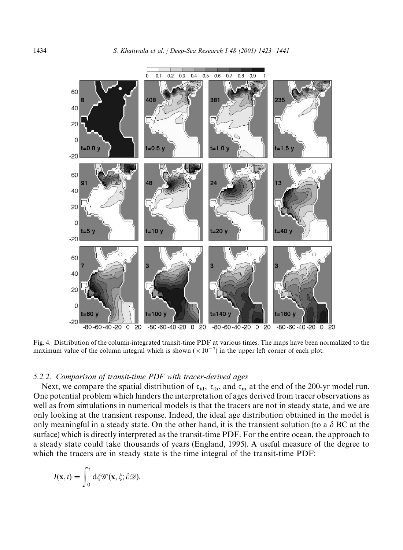

Fig. 4. Distribution of the column-integrated transit-time PDF at various times. The maps have been normalized to the maximum value of the column integral which is shown  $(\times 10^{-7})$  in the upper left corner of each plot.

## *5.2.2. Comparison of transit-time PDF with tracer-derived ages*

Next, we compare the spatial distribution of  $\tau_{id}$ ,  $\tau_{th}$ , and  $\tau_m$  at the end of the 200-yr model run. One potential problem which hinders the interpretation of ages derived from tracer observations as well as from simulations in numerical models is that the tracers are not in steady state, and we are only looking at the transient response. Indeed, the ideal age distribution obtained in the model is only meaningful in a steady state. On the other hand, it is the transient solution (to a  $\delta$  BC at the surface) which is directly interpreted as the transit-time PDF. For the entire ocean, the approach to a steady state could take thousands of years (England, 1995). A useful measure of the degree to which the tracers are in steady state is the time integral of the transit-time PDF:

$$
I(\mathbf{x},t) = \int_0^t \mathrm{d}\xi \mathscr{G}'(\mathbf{x},\xi;\partial \mathscr{D}).
$$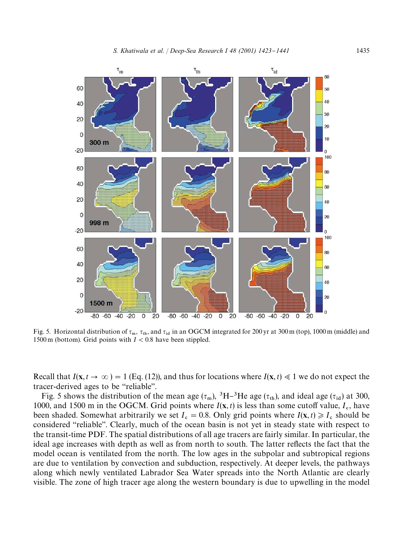

Fig. 5. Horizontal distribution of  $\tau_m$ ,  $\tau_{th}$ , and  $\tau_{id}$  in an OGCM integrated for 200 yr at 300 m (top), 1000 m (middle) and 1500 m (bottom). Grid points with  $I < 0.8$  have been stippled.

Recall that  $I(\mathbf{x}, t \to \infty) = 1$  (Eq. (12)), and thus for locations where  $I(\mathbf{x}, t) \ll 1$  we do not expect the tracer-derived ages to be "reliable".

Fig. 5 shows the distribution of the mean age  $(\tau_m)$ , <sup>3</sup>H-<sup>3</sup>He age  $(\tau_{th})$ , and ideal age  $(\tau_{id})$  at 300, 1000, and 1500 m in the OGCM. Grid points where  $I(x, t)$  is less than some cutoff value,  $I_c$ , have been shaded. Somewhat arbitrarily we set  $I_c = 0.8$ . Only grid points where  $I(\mathbf{x}, t) \ge I_c$  should be considered "reliable". Clearly, much of the ocean basin is not yet in steady state with respect to the transit-time PDF. The spatial distributions of all age tracers are fairly similar. In particular, the ideal age increases with depth as well as from north to south. The latter reflects the fact that the model ocean is ventilated from the north. The low ages in the subpolar and subtropical regions are due to ventilation by convection and subduction, respectively. At deeper levels, the pathways along which newly ventilated Labrador Sea Water spreads into the North Atlantic are clearly visible. The zone of high tracer age along the western boundary is due to upwelling in the model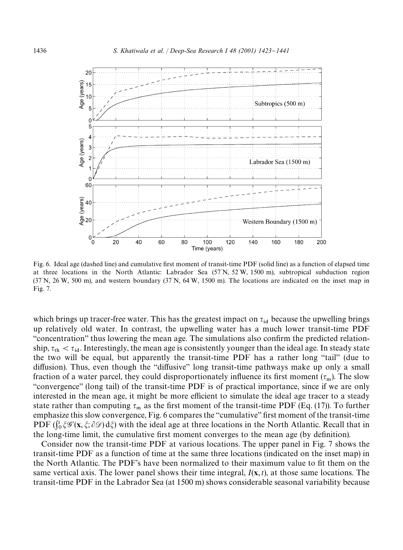

Fig. 6. Ideal age (dashed line) and cumulative first moment of transit-time PDF (solid line) as a function of elapsed time at three locations in the North Atlantic: Labrador Sea (57 N, 52 W, 1500 m), subtropical subduction region  $(37\text{ N}, 26\text{ W}, 500\text{ m})$ , and western boundary  $(37\text{ N}, 64\text{ W}, 1500\text{ m})$ . The locations are indicated on the inset map in Fig. 7.

which brings up tracer-free water. This has the greatest impact on  $\tau_{id}$  because the upwelling brings up relatively old water. In contrast, the upwelling water has a much lower transit-time PDF "concentration" thus lowering the mean age. The simulations also confirm the predicted relationship,  $\tau_{th} < \tau_{id}$ . Interestingly, the mean age is consistently younger than the ideal age. In steady state the two will be equal, but apparently the transit-time PDF has a rather long "tail" (due to diffusion). Thus, even though the "diffusive" long transit-time pathways make up only a small fraction of a water parcel, they could disproportionately influence its first moment  $(\tau_m)$ . The slow "convergence" (long tail) of the transit-time PDF is of practical importance, since if we are only interested in the mean age, it might be more efficient to simulate the ideal age tracer to a steady state rather than computing  $\tau_m$  as the first moment of the transit-time PDF (Eq. (17)). To further emphasize this slow convergence, Fig. 6 compares the "cumulative" first moment of the transit-time PDF  $(\int_0^t \xi \mathscr{G}'(\mathbf{x}, \xi; \partial \mathscr{D}) d\xi)$  with the ideal age at three locations in the North Atlantic. Recall that in the long-time limit, the cumulative first moment converges to the mean age (by definition).

Consider now the transit-time PDF at various locations. The upper panel in Fig. 7 shows the transit-time PDF as a function of time at the same three locations (indicated on the inset map) in the North Atlantic. The PDF's have been normalized to their maximum value to fit them on the same vertical axis. The lower panel shows their time integral, *I*(x,*t*), at those same locations. The transit-time PDF in the Labrador Sea (at 1500 m) shows considerable seasonal variability because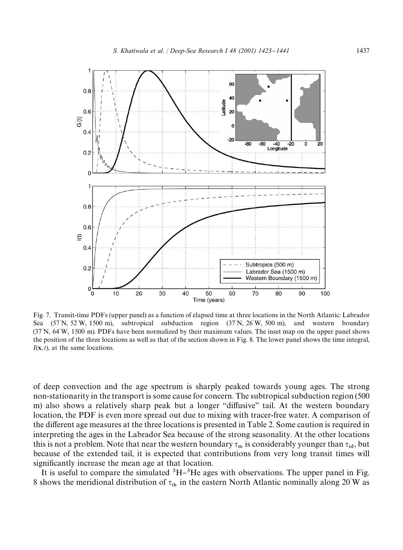

Fig. 7. Transit-time PDFs (upper panel) as a function of elapsed time at three locations in the North Atlantic: Labrador Sea  $(57^{\circ}N, 52^{\circ}W, 1500 \text{ m})$ , subtropical subduction region  $(37^{\circ}N, 26^{\circ})$ and western boundary (37<sup>3</sup> N, 64<sup>3</sup> W, 1500 m). PDFs have been normalized by their maximum values. The inset map on the upper panel shows the position of the three locations as well as that of the section shown in Fig. 8. The lower panel shows the time integral, *I*(x,*t*), at the same locations.

of deep convection and the age spectrum is sharply peaked towards young ages. The strong non-stationarity in the transport is some cause for concern. The subtropical subduction region (500 m) also shows a relatively sharp peak but a longer "diffusive" tail. At the western boundary location, the PDF is even more spread out due to mixing with tracer-free water. A comparison of the different age measures at the three locations is presented in Table 2. Some caution is required in interpreting the ages in the Labrador Sea because of the strong seasonality. At the other locations this is not a problem. Note that near the western boundary  $\tau_m$  is considerably younger than  $\tau_{\rm id}$ , but because of the extended tail, it is expected that contributions from very long transit times will significantly increase the mean age at that location.

It is useful to compare the simulated  ${}^{3}H-{}^{3}He$  ages with observations. The upper panel in Fig. 8 shows the meridional distribution of  $\tau_{\text{th}}$  in the eastern North Atlantic nominally along 20°W as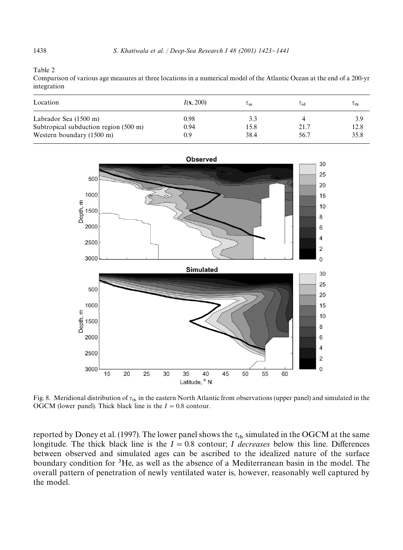Table 2

Comparison of various age measures at three locations in a numerical model of the Atlantic Ocean at the end of a 200-yr integration

| Location                              | I(x, 200) | $\iota_{\mathbf{m}}$ | $\tau_{\mathsf{id}}$ | $\iota_{\text{th}}$ |
|---------------------------------------|-----------|----------------------|----------------------|---------------------|
| Labrador Sea (1500 m)                 | 0.98      | 3.3                  |                      | 3.9                 |
| Subtropical subduction region (500 m) | 0.94      | 15.8                 | 21.7                 | 12.8                |
| Western boundary (1500 m)             | 0.9       | 38.4                 | 56.7                 | 35.8                |



Fig. 8. Meridional distribution of  $\tau_{\text{th}}$  in the eastern North Atlantic from observations (upper panel) and simulated in the OGCM (lower panel). Thick black line is the  $I = 0.8$  contour.

reported by Doney et al. (1997). The lower panel shows the  $\tau_{th}$  simulated in the OGCM at the same longitude. The thick black line is the  $I = 0.8$  contour; *I* decreases below this line. Differences between observed and simulated ages can be ascribed to the idealized nature of the surface boundary condition for  ${}^{3}$ He, as well as the absence of a Mediterranean basin in the model. The overall pattern of penetration of newly ventilated water is, however, reasonably well captured by the model.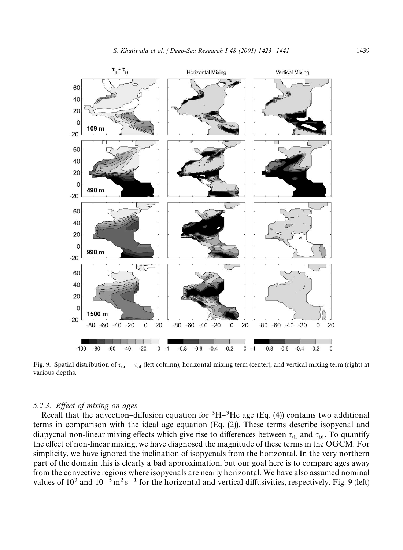

Fig. 9. Spatial distribution of  $\tau_{th} - \tau_{id}$  (left column), horizontal mixing term (center), and vertical mixing term (right) at various depths.

#### 5.2.3. Effect of mixing on ages

Recall that the advection-diffusion equation for  ${}^{3}H-{}^{3}He$  age (Eq. (4)) contains two additional terms in comparison with the ideal age equation (Eq. (2)). These terms describe isopycnal and diapycnal non-linear mixing effects which give rise to differences between  $\tau_{th}$  and  $\tau_{id}$ . To quantify the effect of non-linear mixing, we have diagnosed the magnitude of these terms in the OGCM. For simplicity, we have ignored the inclination of isopycnals from the horizontal. In the very northern part of the domain this is clearly a bad approximation, but our goal here is to compare ages away from the convective regions where isopycnals are nearly horizontal. We have also assumed nominal values of  $10^3$  and  $10^{-5}$  m<sup>2</sup> s<sup>-1</sup> for the horizontal and vertical diffusivities, respectively. Fig. 9 (left)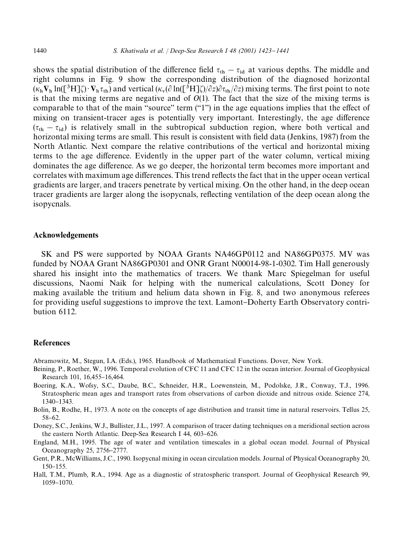shows the spatial distribution of the difference field  $\tau_{th} - \tau_{id}$  at various depths. The middle and right columns in Fig. 9 show the corresponding distribution of the diagnosed horizontal  $(\kappa_h \mathbf{V}_h \ln([\mathbf{B}^3 H]\zeta) \cdot \mathbf{V}_h \tau_{th})$  and vertical  $(\kappa_v(\partial \ln([\mathbf{B}^3 H]\zeta)/\partial z)\partial \tau_{th}/\partial z)$  mixing terms. The first point to note is that the mixing terms are negative and of *O*(1). The fact that the size of the mixing terms is comparable to that of the main "source" term  $("1")$  in the age equations implies that the effect of mixing on transient-tracer ages is potentially very important. Interestingly, the age difference  $(\tau_{th} - \tau_{id})$  is relatively small in the subtropical subduction region, where both vertical and horizontal mixing terms are small. This result is consistent with field data (Jenkins, 1987) from the North Atlantic. Next compare the relative contributions of the vertical and horizontal mixing terms to the age difference. Evidently in the upper part of the water column, vertical mixing dominates the age difference. As we go deeper, the horizontal term becomes more important and correlates with maximum age differences. This trend reflects the fact that in the upper ocean vertical gradients are larger, and tracers penetrate by vertical mixing. On the other hand, in the deep ocean tracer gradients are larger along the isopycnals, reflecting ventilation of the deep ocean along the isopycnals.

## Acknowledgements

SK and PS were supported by NOAA Grants NA46GP0112 and NA86GP0375. MV was funded by NOAA Grant NA86GP0301 and ONR Grant N00014-98-1-0302. Tim Hall generously shared his insight into the mathematics of tracers. We thank Marc Spiegelman for useful discussions, Naomi Naik for helping with the numerical calculations, Scott Doney for making available the tritium and helium data shown in Fig. 8, and two anonymous referees for providing useful suggestions to improve the text. Lamont-Doherty Earth Observatory contribution 6112.

#### References

Abramowitz, M., Stegun, I.A. (Eds.), 1965. Handbook of Mathematical Functions. Dover, New York.

- Beining, P., Roether, W., 1996. Temporal evolution of CFC 11 and CFC 12 in the ocean interior. Journal of Geophysical Research 101, 16,455-16,464.
- Boering, K.A., Wofsy, S.C., Daube, B.C., Schneider, H.R., Loewenstein, M., Podolske, J.R., Conway, T.J., 1996. Stratospheric mean ages and transport rates from observations of carbon dioxide and nitrous oxide. Science 274, 1340-1343.

Bolin, B., Rodhe, H., 1973. A note on the concepts of age distribution and transit time in natural reservoirs. Tellus 25, 58-62.

Doney, S.C., Jenkins, W.J., Bullister, J.L., 1997. A comparison of tracer dating techniques on a meridional section across the eastern North Atlantic. Deep-Sea Research I 44, 603-626.

England, M.H., 1995. The age of water and ventilation timescales in a global ocean model. Journal of Physical Oceanography 25, 2756–2777.

Gent, P.R., McWilliams, J.C., 1990. Isopycnal mixing in ocean circulation models. Journal of Physical Oceanography 20, 150-155.

Hall, T.M., Plumb, R.A., 1994. Age as a diagnostic of stratospheric transport. Journal of Geophysical Research 99, 1059-1070.